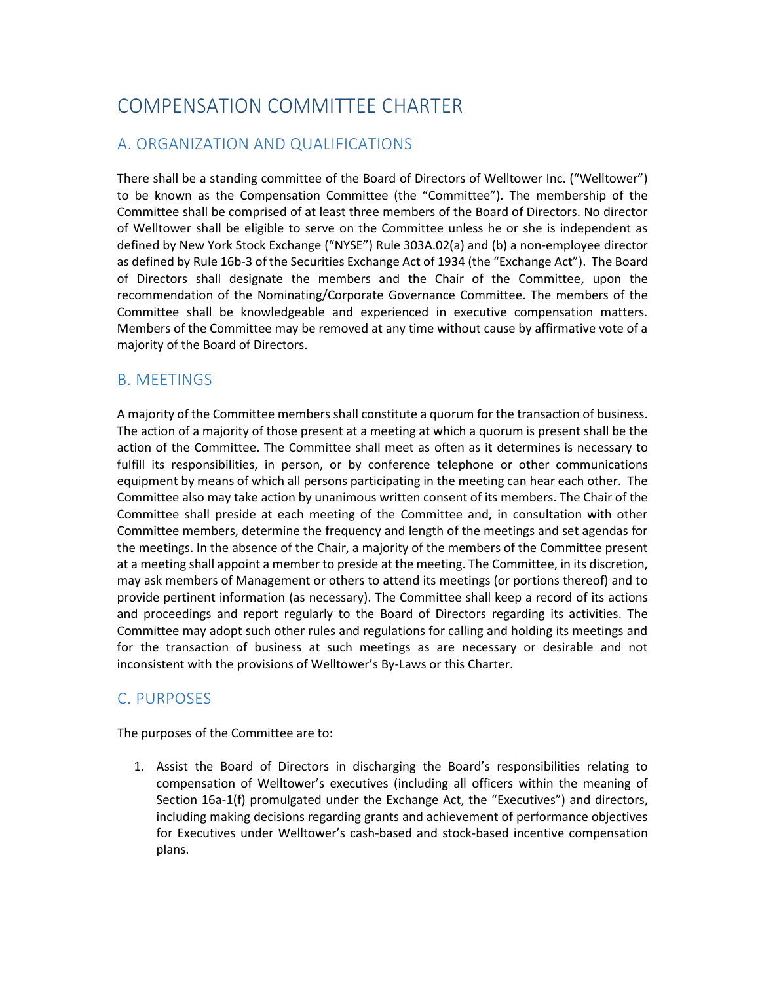# COMPENSATION COMMITTEE CHARTER

## A. ORGANIZATION AND QUALIFICATIONS

There shall be a standing committee of the Board of Directors of Welltower Inc. ("Welltower") to be known as the Compensation Committee (the "Committee"). The membership of the Committee shall be comprised of at least three members of the Board of Directors. No director of Welltower shall be eligible to serve on the Committee unless he or she is independent as defined by New York Stock Exchange ("NYSE") Rule 303A.02(a) and (b) a non-employee director as defined by Rule 16b-3 of the Securities Exchange Act of 1934 (the "Exchange Act"). The Board of Directors shall designate the members and the Chair of the Committee, upon the recommendation of the Nominating/Corporate Governance Committee. The members of the Committee shall be knowledgeable and experienced in executive compensation matters. Members of the Committee may be removed at any time without cause by affirmative vote of a majority of the Board of Directors.

#### B. MEETINGS

A majority of the Committee members shall constitute a quorum for the transaction of business. The action of a majority of those present at a meeting at which a quorum is present shall be the action of the Committee. The Committee shall meet as often as it determines is necessary to fulfill its responsibilities, in person, or by conference telephone or other communications equipment by means of which all persons participating in the meeting can hear each other. The Committee also may take action by unanimous written consent of its members. The Chair of the Committee shall preside at each meeting of the Committee and, in consultation with other Committee members, determine the frequency and length of the meetings and set agendas for the meetings. In the absence of the Chair, a majority of the members of the Committee present at a meeting shall appoint a member to preside at the meeting. The Committee, in its discretion, may ask members of Management or others to attend its meetings (or portions thereof) and to provide pertinent information (as necessary). The Committee shall keep a record of its actions and proceedings and report regularly to the Board of Directors regarding its activities. The Committee may adopt such other rules and regulations for calling and holding its meetings and for the transaction of business at such meetings as are necessary or desirable and not inconsistent with the provisions of Welltower's By-Laws or this Charter.

### C. PURPOSES

The purposes of the Committee are to:

1. Assist the Board of Directors in discharging the Board's responsibilities relating to compensation of Welltower's executives (including all officers within the meaning of Section 16a-1(f) promulgated under the Exchange Act, the "Executives") and directors, including making decisions regarding grants and achievement of performance objectives for Executives under Welltower's cash-based and stock-based incentive compensation plans.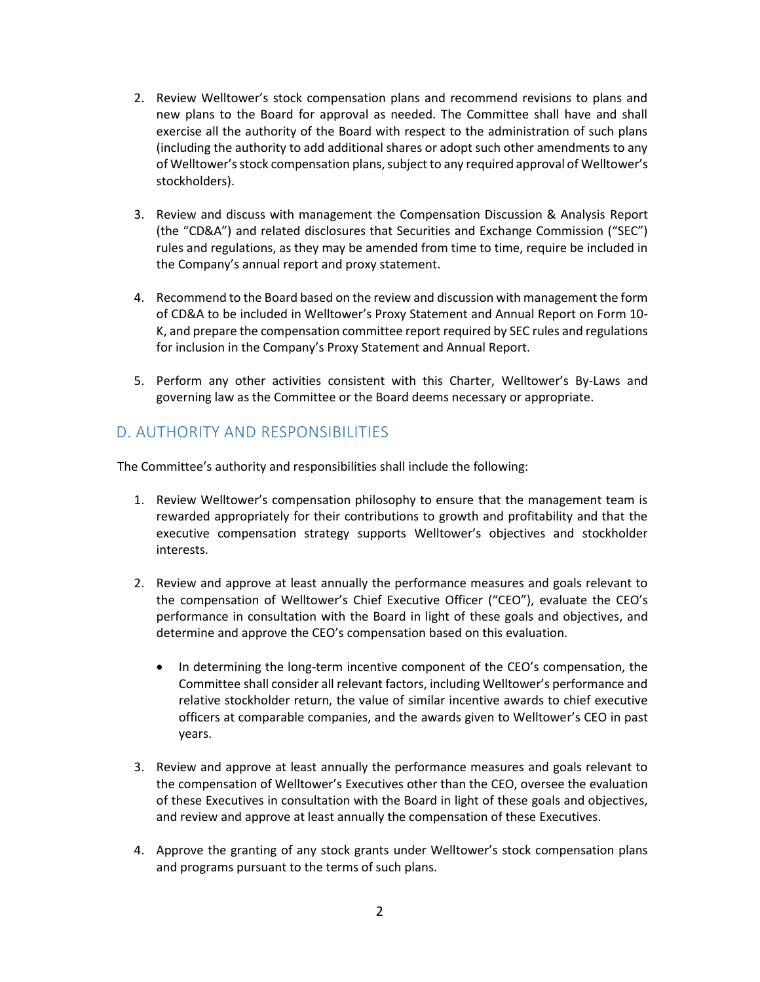- 2. Review Welltower's stock compensation plans and recommend revisions to plans and new plans to the Board for approval as needed. The Committee shall have and shall exercise all the authority of the Board with respect to the administration of such plans (including the authority to add additional shares or adopt such other amendments to any of Welltower'sstock compensation plans, subject to any required approval of Welltower's stockholders).
- 3. Review and discuss with management the Compensation Discussion & Analysis Report (the "CD&A") and related disclosures that Securities and Exchange Commission ("SEC") rules and regulations, as they may be amended from time to time, require be included in the Company's annual report and proxy statement.
- 4. Recommend to the Board based on the review and discussion with management the form of CD&A to be included in Welltower's Proxy Statement and Annual Report on Form 10- K, and prepare the compensation committee report required by SEC rules and regulations for inclusion in the Company's Proxy Statement and Annual Report.
- 5. Perform any other activities consistent with this Charter, Welltower's By-Laws and governing law as the Committee or the Board deems necessary or appropriate.

# D. AUTHORITY AND RESPONSIBILITIES

The Committee's authority and responsibilities shall include the following:

- 1. Review Welltower's compensation philosophy to ensure that the management team is rewarded appropriately for their contributions to growth and profitability and that the executive compensation strategy supports Welltower's objectives and stockholder interests.
- 2. Review and approve at least annually the performance measures and goals relevant to the compensation of Welltower's Chief Executive Officer ("CEO"), evaluate the CEO's performance in consultation with the Board in light of these goals and objectives, and determine and approve the CEO's compensation based on this evaluation.
	- In determining the long-term incentive component of the CEO's compensation, the Committee shall consider all relevant factors, including Welltower's performance and relative stockholder return, the value of similar incentive awards to chief executive officers at comparable companies, and the awards given to Welltower's CEO in past years.
- 3. Review and approve at least annually the performance measures and goals relevant to the compensation of Welltower's Executives other than the CEO, oversee the evaluation of these Executives in consultation with the Board in light of these goals and objectives, and review and approve at least annually the compensation of these Executives.
- 4. Approve the granting of any stock grants under Welltower's stock compensation plans and programs pursuant to the terms of such plans.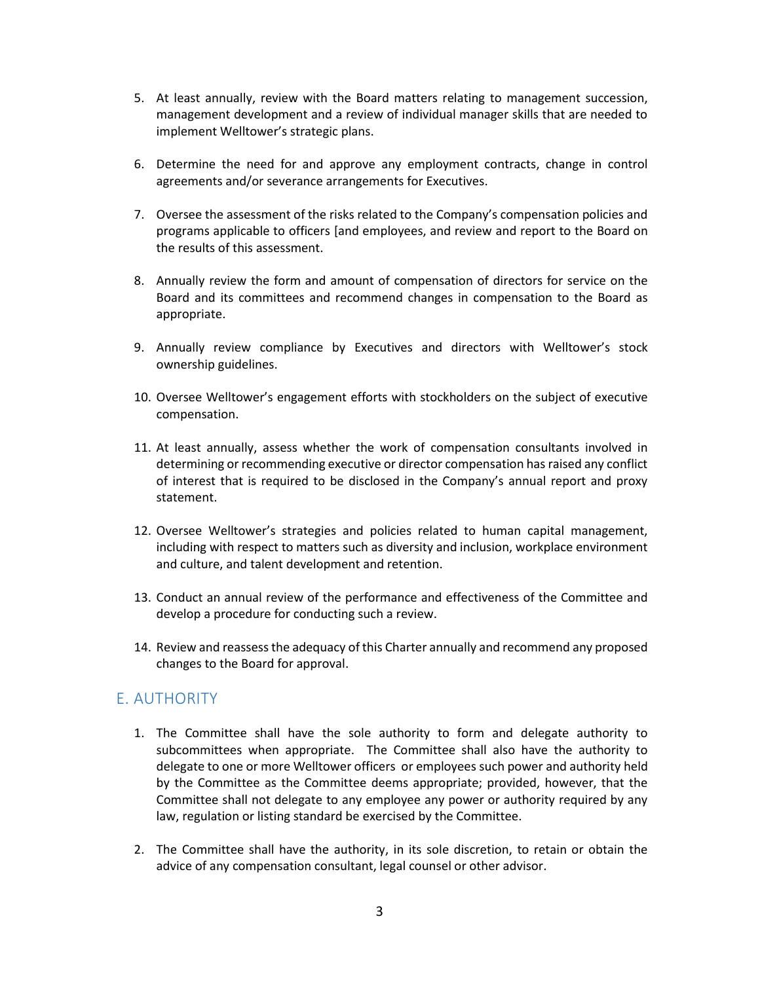- 5. At least annually, review with the Board matters relating to management succession, management development and a review of individual manager skills that are needed to implement Welltower's strategic plans.
- 6. Determine the need for and approve any employment contracts, change in control agreements and/or severance arrangements for Executives.
- 7. Oversee the assessment of the risks related to the Company's compensation policies and programs applicable to officers [and employees, and review and report to the Board on the results of this assessment.
- 8. Annually review the form and amount of compensation of directors for service on the Board and its committees and recommend changes in compensation to the Board as appropriate.
- 9. Annually review compliance by Executives and directors with Welltower's stock ownership guidelines.
- 10. Oversee Welltower's engagement efforts with stockholders on the subject of executive compensation.
- 11. At least annually, assess whether the work of compensation consultants involved in determining or recommending executive or director compensation has raised any conflict of interest that is required to be disclosed in the Company's annual report and proxy statement.
- 12. Oversee Welltower's strategies and policies related to human capital management, including with respect to matters such as diversity and inclusion, workplace environment and culture, and talent development and retention.
- 13. Conduct an annual review of the performance and effectiveness of the Committee and develop a procedure for conducting such a review.
- 14. Review and reassess the adequacy of this Charter annually and recommend any proposed changes to the Board for approval.

#### E. AUTHORITY

- 1. The Committee shall have the sole authority to form and delegate authority to subcommittees when appropriate. The Committee shall also have the authority to delegate to one or more Welltower officers or employees such power and authority held by the Committee as the Committee deems appropriate; provided, however, that the Committee shall not delegate to any employee any power or authority required by any law, regulation or listing standard be exercised by the Committee.
- 2. The Committee shall have the authority, in its sole discretion, to retain or obtain the advice of any compensation consultant, legal counsel or other advisor.